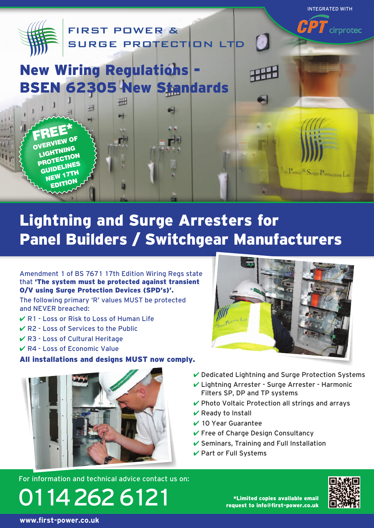

# Lightning and Surge Arresters for Panel Builders / Switchgear Manufacturers

Amendment 1 of BS 7671 17th Edition Wiring Regs state that 'The system must be protected against transient O/V using Surge Protection Devices (SPD's)'.

The following primary 'R' values MUST be protected and NEVER breached:

- ✔ R1 Loss or Risk to Loss of Human Life
- $\vee$  R2 Loss of Services to the Public
- ✔ R3 Loss of Cultural Heritage
- $\vee$  R4 Loss of Economic Value

#### All installations and designs MUST now comply.



For information and technical advice contact us on:





- $\vee$  Dedicated Lightning and Surge Protection Systems
- ✔ Lightning Arrester Surge Arrester Harmonic Filters SP, DP and TP systems
- ✔ Photo Voltaic Protection all strings and arrays
- $\vee$  Ready to Install
- ✔ 10 Year Guarantee
- $\checkmark$  Free of Charge Design Consultancy
- $\checkmark$  Seminars, Training and Full Installation
- ✔ Part or Full Systems



\*Limited copies available email request to info@first-power.co.uk

**www.first-power.co.uk**